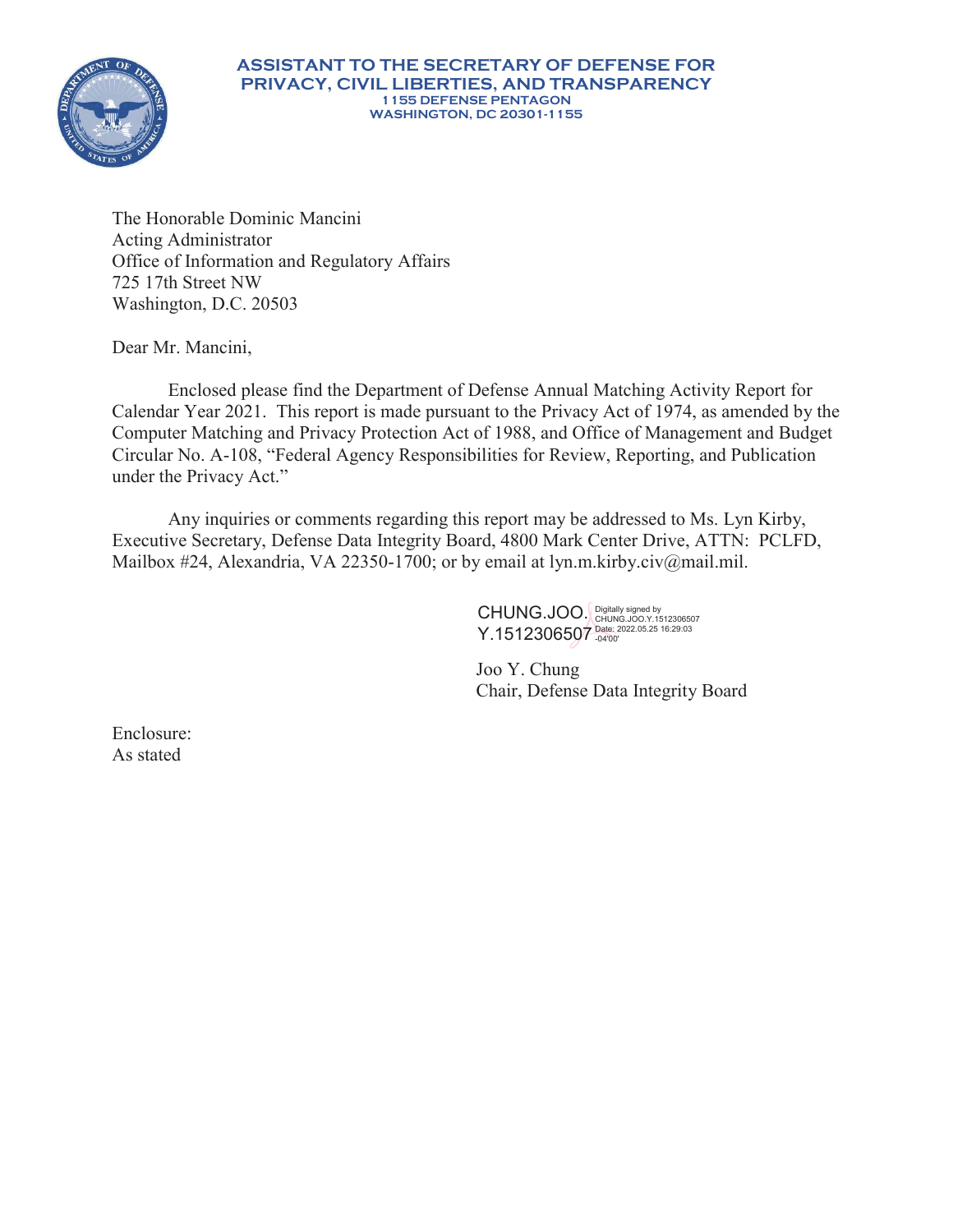

The Honorable Dominic Mancini Acting Administrator Office of Information and Regulatory Affairs 725 17th Street NW Washington, D.C. 20503

Dear Mr. Mancini,

Enclosed please find the Department of Defense Annual Matching Activity Report for Calendar Year 2021. This report is made pursuant to the Privacy Act of 1974, as amended by the Computer Matching and Privacy Protection Act of 1988, and Office of Management and Budget Circular No. A-108, "Federal Agency Responsibilities for Review, Reporting, and Publication under the Privacy Act."

Any inquiries or comments regarding this report may be addressed to Ms. Lyn Kirby, Executive Secretary, Defense Data Integrity Board, 4800 Mark Center Drive, ATTN: PCLFD, Mailbox #24, Alexandria, VA 22350-1700; or by email at lyn.m.kirby.civ@mail.mil.

> CHUNG.JOO. Y.1512306507 Digitally signed by CHUNG.JOO.Y.1512306507 Date: 2022.05.25 16:29:03 -04'00'

Joo Y. Chung Chair, Defense Data Integrity Board

Enclosure: As stated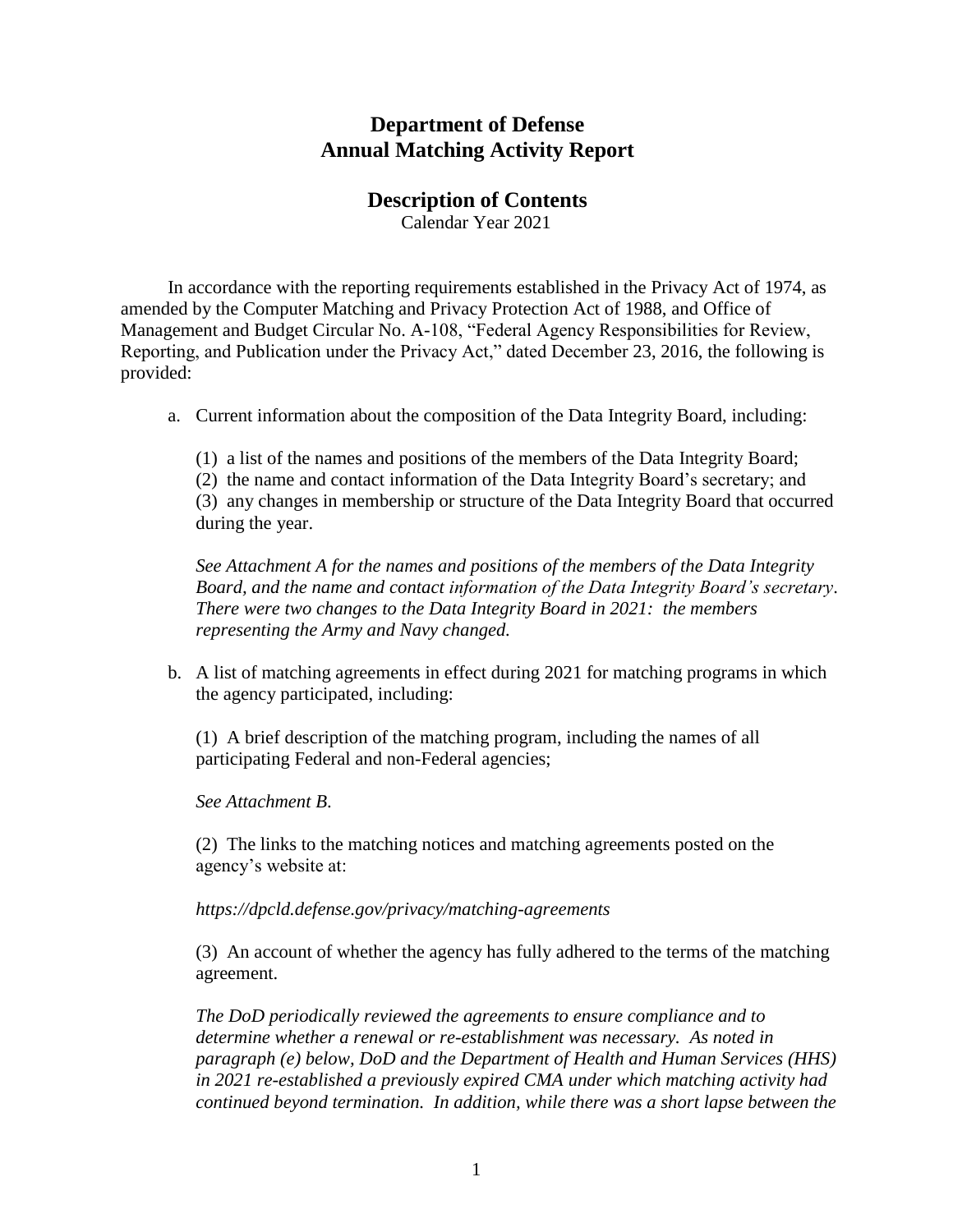### **Description of Contents**

Calendar Year 2021

In accordance with the reporting requirements established in the Privacy Act of 1974, as amended by the Computer Matching and Privacy Protection Act of 1988, and Office of Management and Budget Circular No. A-108, "Federal Agency Responsibilities for Review, Reporting, and Publication under the Privacy Act," dated December 23, 2016, the following is provided:

- a. Current information about the composition of the Data Integrity Board, including:
	- (1) a list of the names and positions of the members of the Data Integrity Board;

(2) the name and contact information of the Data Integrity Board's secretary; and (3) any changes in membership or structure of the Data Integrity Board that occurred during the year.

*See Attachment A for the names and positions of the members of the Data Integrity Board, and the name and contact information of the Data Integrity Board's secretary*. *There were two changes to the Data Integrity Board in 2021: the members representing the Army and Navy changed.*

b. A list of matching agreements in effect during 2021 for matching programs in which the agency participated, including:

(1) A brief description of the matching program, including the names of all participating Federal and non-Federal agencies;

*See Attachment B*.

(2) The links to the matching notices and matching agreements posted on the agency's website at:

#### *https://dpcld.defense.gov/privacy/matching-agreements*

(3) An account of whether the agency has fully adhered to the terms of the matching agreement.

*The DoD periodically reviewed the agreements to ensure compliance and to determine whether a renewal or re-establishment was necessary. As noted in paragraph (e) below, DoD and the Department of Health and Human Services (HHS) in 2021 re-established a previously expired CMA under which matching activity had continued beyond termination. In addition, while there was a short lapse between the*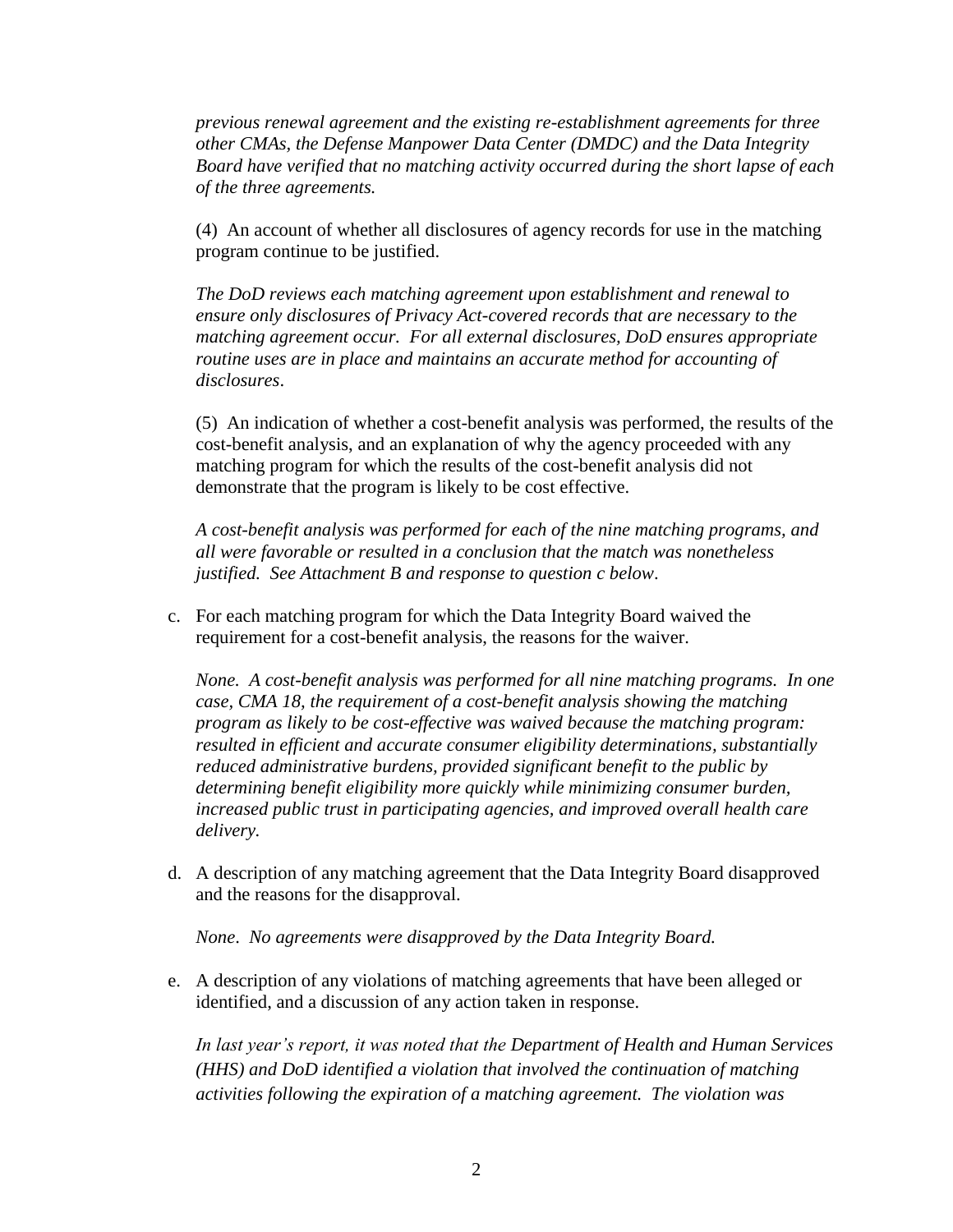*previous renewal agreement and the existing re-establishment agreements for three other CMAs, the Defense Manpower Data Center (DMDC) and the Data Integrity Board have verified that no matching activity occurred during the short lapse of each of the three agreements.*

(4) An account of whether all disclosures of agency records for use in the matching program continue to be justified.

*The DoD reviews each matching agreement upon establishment and renewal to ensure only disclosures of Privacy Act-covered records that are necessary to the matching agreement occur. For all external disclosures, DoD ensures appropriate routine uses are in place and maintains an accurate method for accounting of disclosures*.

(5) An indication of whether a cost-benefit analysis was performed, the results of the cost-benefit analysis, and an explanation of why the agency proceeded with any matching program for which the results of the cost-benefit analysis did not demonstrate that the program is likely to be cost effective.

*A cost-benefit analysis was performed for each of the nine matching programs, and all were favorable or resulted in a conclusion that the match was nonetheless justified. See Attachment B and response to question c below*.

c. For each matching program for which the Data Integrity Board waived the requirement for a cost-benefit analysis, the reasons for the waiver.

*None. A cost-benefit analysis was performed for all nine matching programs. In one case, CMA 18, the requirement of a cost-benefit analysis showing the matching program as likely to be cost-effective was waived because the matching program: resulted in efficient and accurate consumer eligibility determinations, substantially reduced administrative burdens, provided significant benefit to the public by determining benefit eligibility more quickly while minimizing consumer burden, increased public trust in participating agencies, and improved overall health care delivery.* 

d. A description of any matching agreement that the Data Integrity Board disapproved and the reasons for the disapproval.

*None*. *No agreements were disapproved by the Data Integrity Board.*

e. A description of any violations of matching agreements that have been alleged or identified, and a discussion of any action taken in response.

*In last year's report, it was noted that the Department of Health and Human Services (HHS) and DoD identified a violation that involved the continuation of matching activities following the expiration of a matching agreement. The violation was*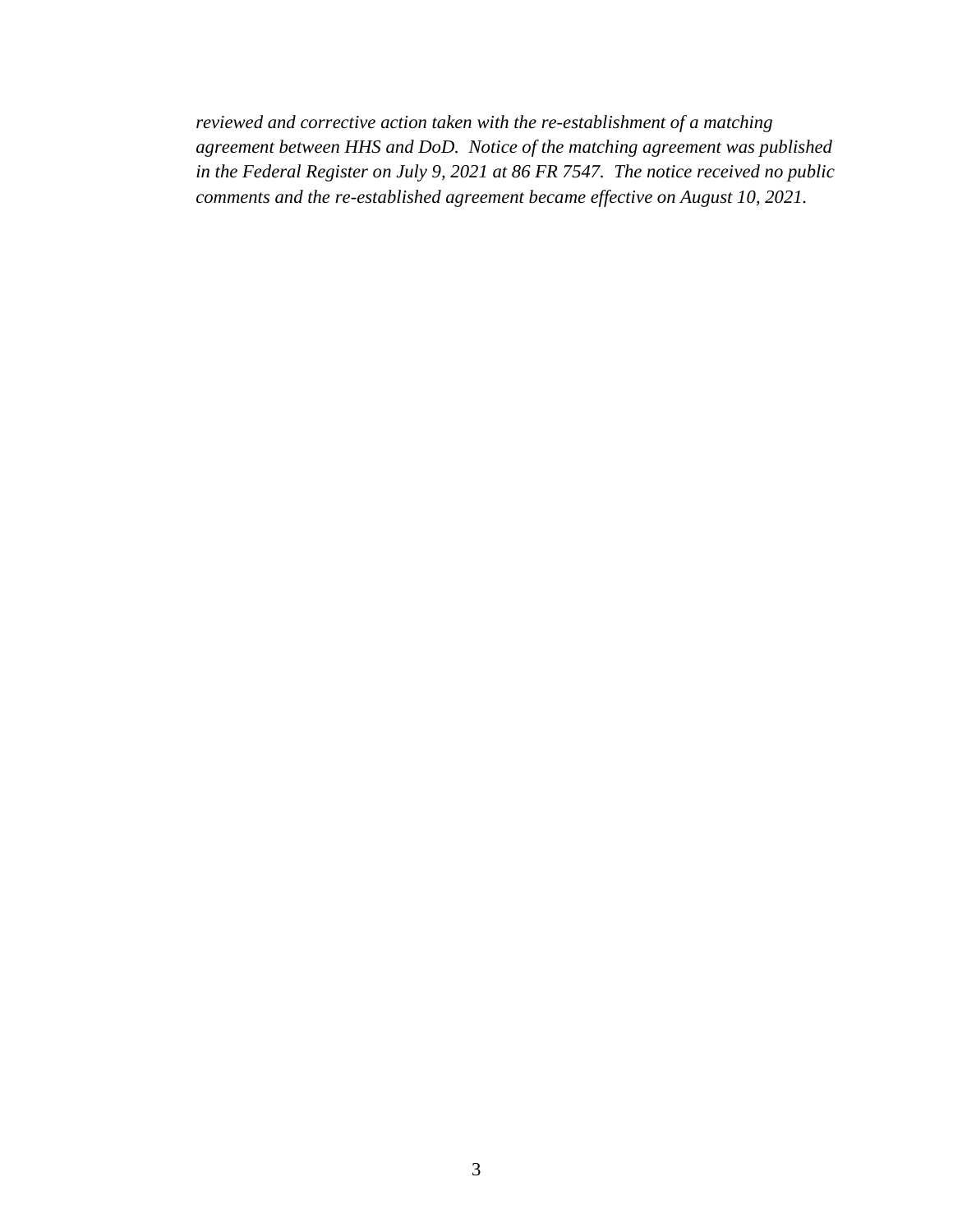*reviewed and corrective action taken with the re-establishment of a matching agreement between HHS and DoD. Notice of the matching agreement was published in the Federal Register on July 9, 2021 at 86 FR 7547. The notice received no public comments and the re-established agreement became effective on August 10, 2021.*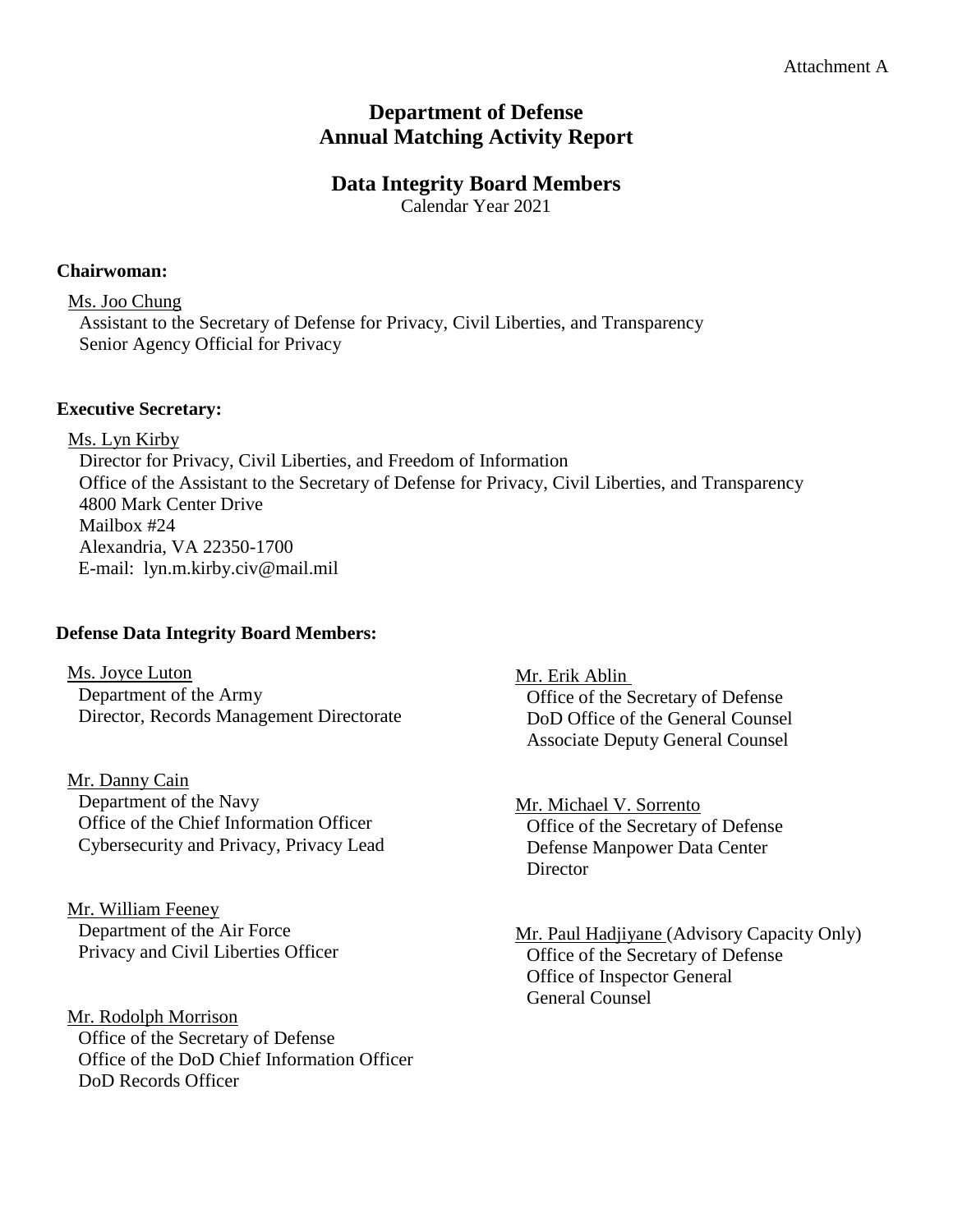### **Data Integrity Board Members**

Calendar Year 2021

#### **Chairwoman:**

Ms. Joo Chung Assistant to the Secretary of Defense for Privacy, Civil Liberties, and Transparency Senior Agency Official for Privacy

#### **Executive Secretary:**

Ms. Lyn Kirby Director for Privacy, Civil Liberties, and Freedom of Information Office of the Assistant to the Secretary of Defense for Privacy, Civil Liberties, and Transparency 4800 Mark Center Drive Mailbox #24 Alexandria, VA 22350-1700 E-mail: lyn.m.kirby.civ@mail.mil

#### **Defense Data Integrity Board Members:**

Ms. Joyce Luton Department of the Army Director, Records Management Directorate

Mr. Danny Cain Department of the Navy Office of the Chief Information Officer Cybersecurity and Privacy, Privacy Lead

Mr. William Feeney Department of the Air Force Privacy and Civil Liberties Officer

Mr. Rodolph Morrison Office of the Secretary of Defense Office of the DoD Chief Information Officer DoD Records Officer

Mr. Erik Ablin Office of the Secretary of Defense DoD Office of the General Counsel Associate Deputy General Counsel

Mr. Michael V. Sorrento Office of the Secretary of Defense Defense Manpower Data Center **Director** 

Mr. Paul Hadjiyane (Advisory Capacity Only) Office of the Secretary of Defense Office of Inspector General General Counsel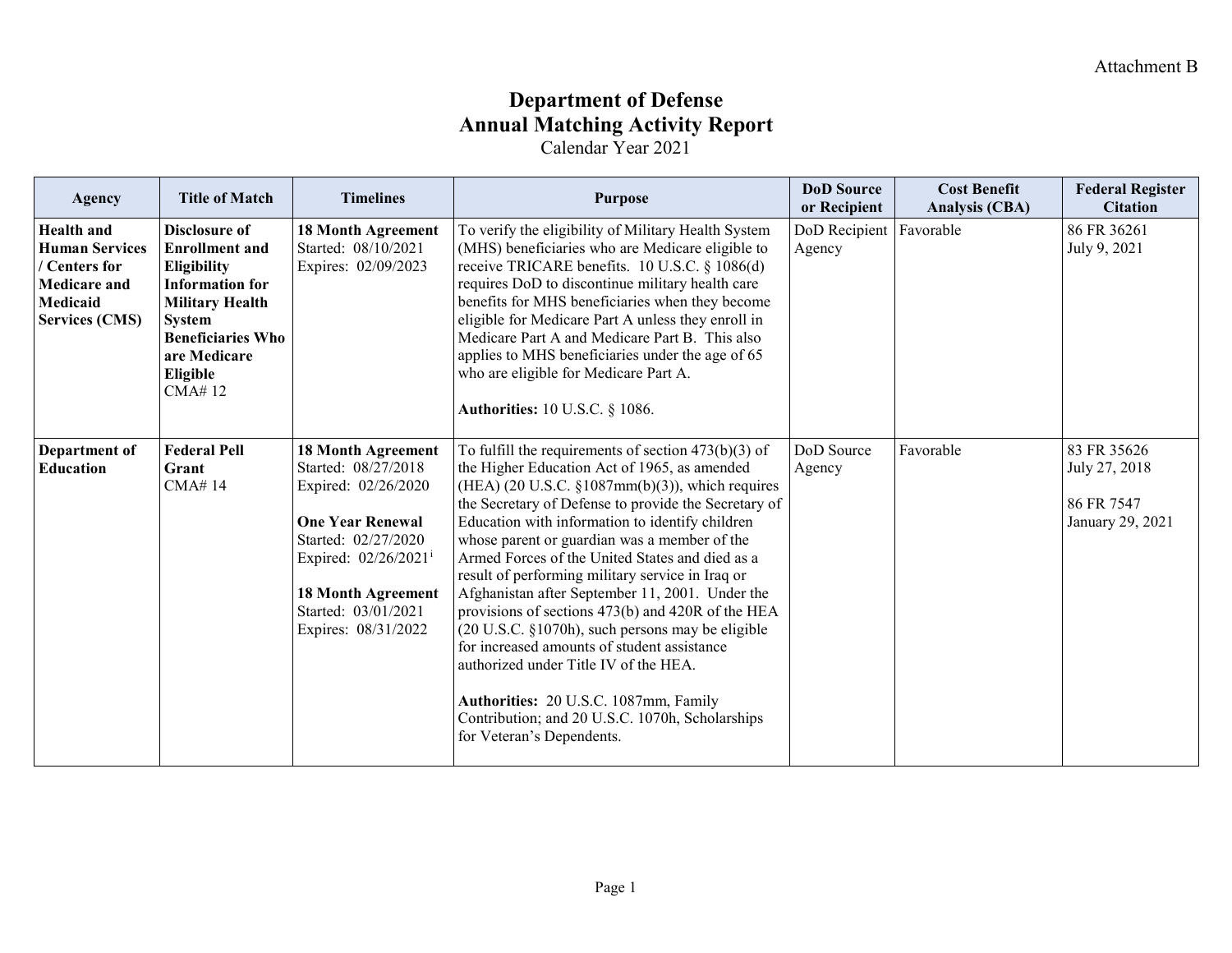| <b>Agency</b>                                                                                                           | <b>Title of Match</b>                                                                                                                                                                                             | <b>Timelines</b>                                                                                                                                                                                                                         | <b>Purpose</b>                                                                                                                                                                                                                                                                                                                                                                                                                                                                                                                                                                                                                                                                                                                                                                                                | <b>DoD</b> Source<br>or Recipient | <b>Cost Benefit</b><br><b>Analysis (CBA)</b> | <b>Federal Register</b><br><b>Citation</b>                     |
|-------------------------------------------------------------------------------------------------------------------------|-------------------------------------------------------------------------------------------------------------------------------------------------------------------------------------------------------------------|------------------------------------------------------------------------------------------------------------------------------------------------------------------------------------------------------------------------------------------|---------------------------------------------------------------------------------------------------------------------------------------------------------------------------------------------------------------------------------------------------------------------------------------------------------------------------------------------------------------------------------------------------------------------------------------------------------------------------------------------------------------------------------------------------------------------------------------------------------------------------------------------------------------------------------------------------------------------------------------------------------------------------------------------------------------|-----------------------------------|----------------------------------------------|----------------------------------------------------------------|
| <b>Health</b> and<br><b>Human Services</b><br>/ Centers for<br><b>Medicare and</b><br>Medicaid<br><b>Services (CMS)</b> | <b>Disclosure of</b><br><b>Enrollment</b> and<br><b>Eligibility</b><br><b>Information for</b><br><b>Military Health</b><br><b>System</b><br><b>Beneficiaries Who</b><br>are Medicare<br>Eligible<br><b>CMA#12</b> | <b>18 Month Agreement</b><br>Started: 08/10/2021<br>Expires: 02/09/2023                                                                                                                                                                  | To verify the eligibility of Military Health System<br>(MHS) beneficiaries who are Medicare eligible to<br>receive TRICARE benefits. 10 U.S.C. § 1086(d)<br>requires DoD to discontinue military health care<br>benefits for MHS beneficiaries when they become<br>eligible for Medicare Part A unless they enroll in<br>Medicare Part A and Medicare Part B. This also<br>applies to MHS beneficiaries under the age of 65<br>who are eligible for Medicare Part A.<br>Authorities: 10 U.S.C. § 1086.                                                                                                                                                                                                                                                                                                        | DoD Recipient Favorable<br>Agency |                                              | 86 FR 36261<br>July 9, 2021                                    |
| Department of<br><b>Education</b>                                                                                       | <b>Federal Pell</b><br>Grant<br><b>CMA#14</b>                                                                                                                                                                     | <b>18 Month Agreement</b><br>Started: 08/27/2018<br>Expired: 02/26/2020<br><b>One Year Renewal</b><br>Started: 02/27/2020<br>Expired: 02/26/2021 <sup>i</sup><br><b>18 Month Agreement</b><br>Started: 03/01/2021<br>Expires: 08/31/2022 | To fulfill the requirements of section $473(b)(3)$ of<br>the Higher Education Act of 1965, as amended<br>$(HEA)$ (20 U.S.C. §1087mm $(b)(3)$ ), which requires<br>the Secretary of Defense to provide the Secretary of<br>Education with information to identify children<br>whose parent or guardian was a member of the<br>Armed Forces of the United States and died as a<br>result of performing military service in Iraq or<br>Afghanistan after September 11, 2001. Under the<br>provisions of sections 473(b) and 420R of the HEA<br>(20 U.S.C. §1070h), such persons may be eligible<br>for increased amounts of student assistance<br>authorized under Title IV of the HEA.<br>Authorities: 20 U.S.C. 1087mm, Family<br>Contribution; and 20 U.S.C. 1070h, Scholarships<br>for Veteran's Dependents. | DoD Source<br>Agency              | Favorable                                    | 83 FR 35626<br>July 27, 2018<br>86 FR 7547<br>January 29, 2021 |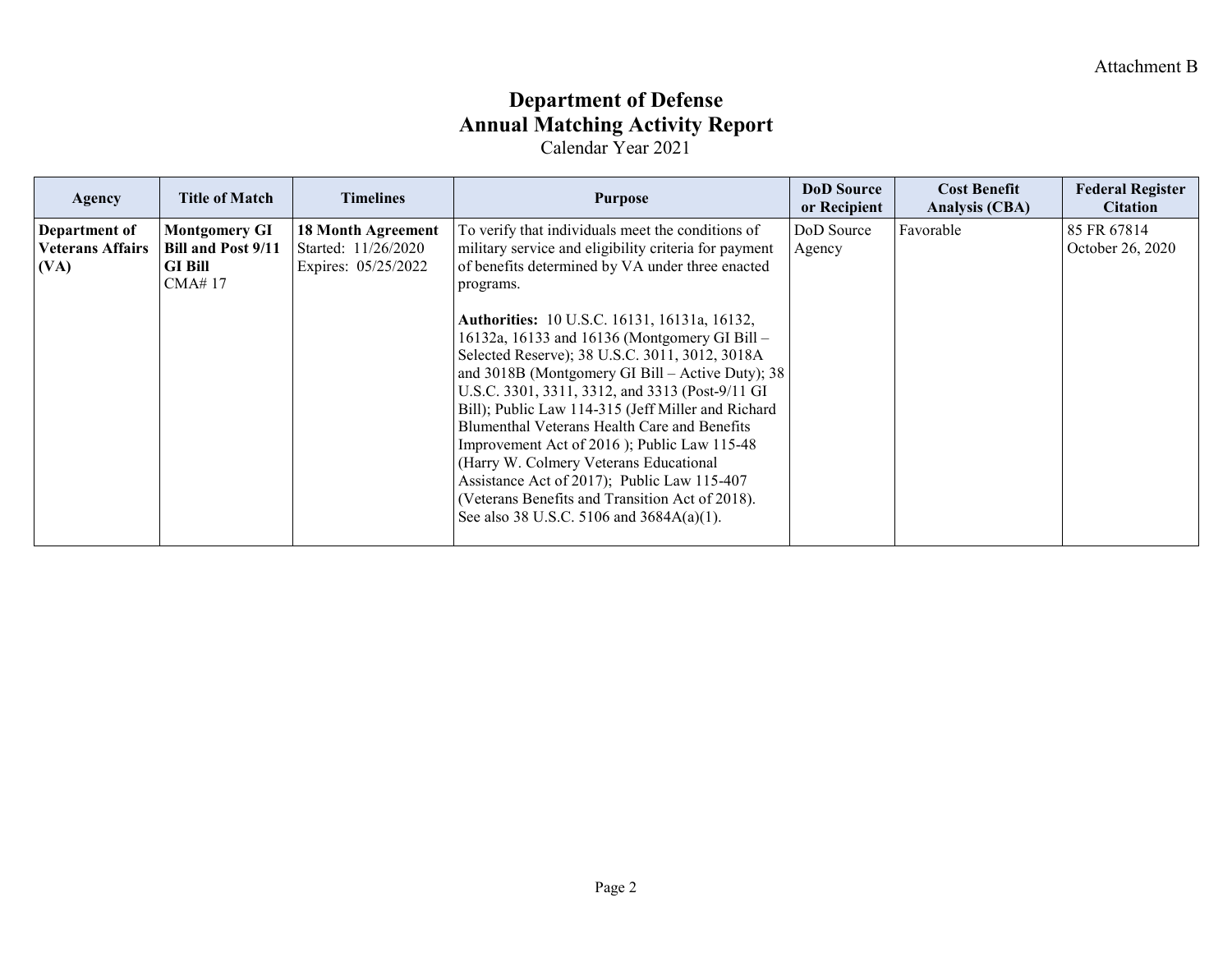| Agency                                           | <b>Title of Match</b>                                                  | <b>Timelines</b>                                                        | <b>Purpose</b>                                                                                                                                                                                                                                                                                                                                                                                                                                                                                                                                                                                                                                                                                                                                                                            | <b>DoD</b> Source<br>or Recipient | <b>Cost Benefit</b><br><b>Analysis (CBA)</b> | <b>Federal Register</b><br><b>Citation</b> |
|--------------------------------------------------|------------------------------------------------------------------------|-------------------------------------------------------------------------|-------------------------------------------------------------------------------------------------------------------------------------------------------------------------------------------------------------------------------------------------------------------------------------------------------------------------------------------------------------------------------------------------------------------------------------------------------------------------------------------------------------------------------------------------------------------------------------------------------------------------------------------------------------------------------------------------------------------------------------------------------------------------------------------|-----------------------------------|----------------------------------------------|--------------------------------------------|
| Department of<br><b>Veterans Affairs</b><br>(VA) | <b>Montgomery GI</b><br><b>Bill and Post 9/11</b><br>GI Bill<br>CMA#17 | <b>18 Month Agreement</b><br>Started: 11/26/2020<br>Expires: 05/25/2022 | To verify that individuals meet the conditions of<br>military service and eligibility criteria for payment<br>of benefits determined by VA under three enacted<br>programs.<br><b>Authorities:</b> 10 U.S.C. 16131, 16131a, 16132,<br>16132a, 16133 and 16136 (Montgomery GI Bill -<br>Selected Reserve); 38 U.S.C. 3011, 3012, 3018A<br>and 3018B (Montgomery GI Bill – Active Duty); 38<br>U.S.C. 3301, 3311, 3312, and 3313 (Post-9/11 GI<br>Bill); Public Law 114-315 (Jeff Miller and Richard<br>Blumenthal Veterans Health Care and Benefits<br>Improvement Act of 2016); Public Law 115-48<br>(Harry W. Colmery Veterans Educational<br>Assistance Act of 2017); Public Law 115-407<br>(Veterans Benefits and Transition Act of 2018).<br>See also 38 U.S.C. 5106 and 3684A(a)(1). | DoD Source<br>Agency              | Favorable                                    | 85 FR 67814<br>October 26, 2020            |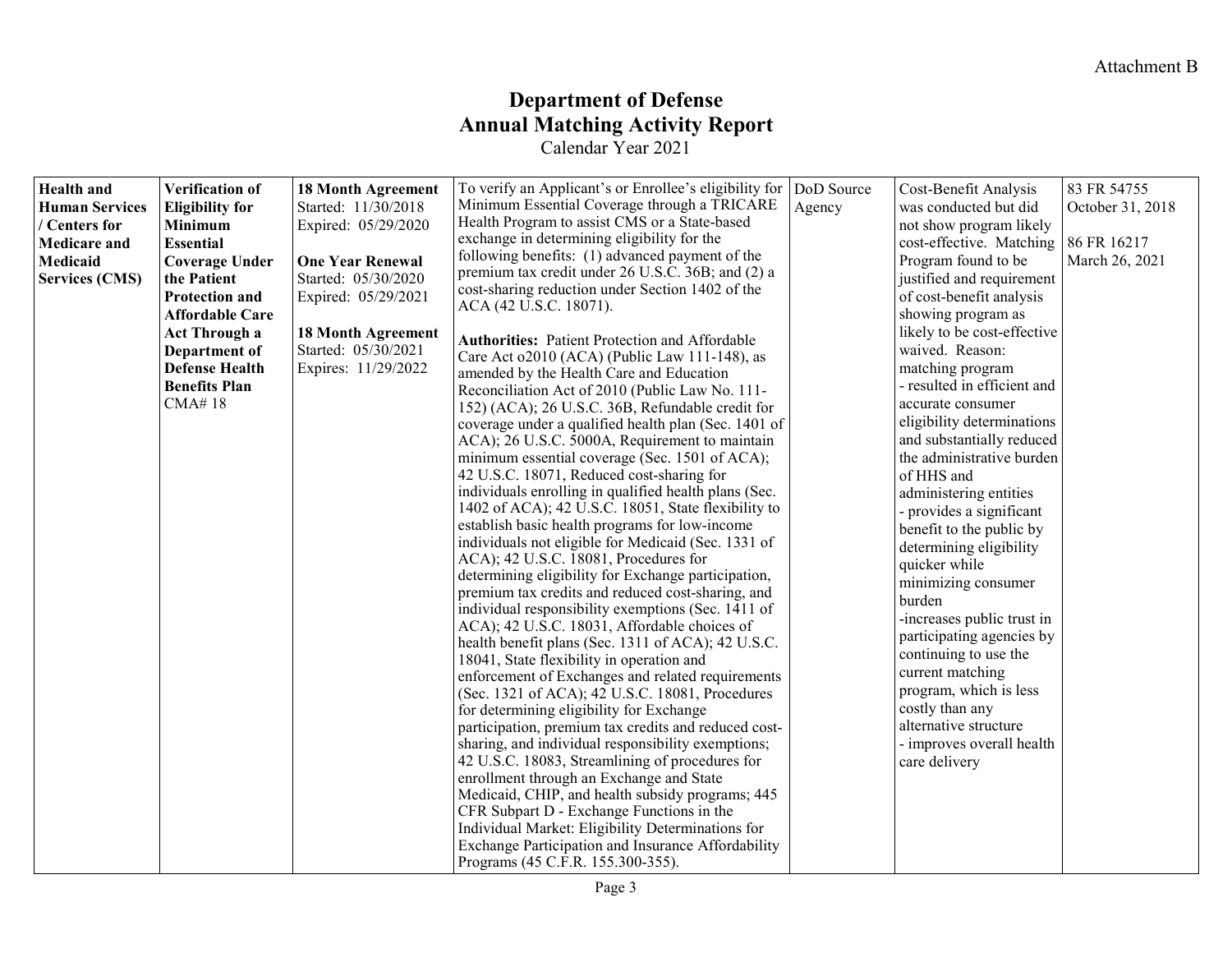| <b>Health</b> and     | <b>Verification of</b> | <b>18 Month Agreement</b> | To verify an Applicant's or Enrollee's eligibility for<br>Minimum Essential Coverage through a TRICARE  | DoD Source | Cost-Benefit Analysis       | 83 FR 54755      |
|-----------------------|------------------------|---------------------------|---------------------------------------------------------------------------------------------------------|------------|-----------------------------|------------------|
| <b>Human Services</b> | <b>Eligibility for</b> | Started: 11/30/2018       | Health Program to assist CMS or a State-based                                                           | Agency     | was conducted but did       | October 31, 2018 |
| / Centers for         | Minimum                | Expired: 05/29/2020       |                                                                                                         |            | not show program likely     |                  |
| <b>Medicare and</b>   | <b>Essential</b>       |                           | exchange in determining eligibility for the<br>following benefits: (1) advanced payment of the          |            | cost-effective. Matching    | 86 FR 16217      |
| Medicaid              | <b>Coverage Under</b>  | <b>One Year Renewal</b>   | premium tax credit under 26 U.S.C. 36B; and (2) a                                                       |            | Program found to be         | March 26, 2021   |
| <b>Services (CMS)</b> | the Patient            | Started: 05/30/2020       | cost-sharing reduction under Section 1402 of the                                                        |            | justified and requirement   |                  |
|                       | <b>Protection and</b>  | Expired: 05/29/2021       | ACA (42 U.S.C. 18071).                                                                                  |            | of cost-benefit analysis    |                  |
|                       | <b>Affordable Care</b> |                           |                                                                                                         |            | showing program as          |                  |
|                       | <b>Act Through a</b>   | <b>18 Month Agreement</b> | <b>Authorities: Patient Protection and Affordable</b>                                                   |            | likely to be cost-effective |                  |
|                       | Department of          | Started: 05/30/2021       | Care Act o2010 (ACA) (Public Law 111-148), as                                                           |            | waived. Reason:             |                  |
|                       | <b>Defense Health</b>  | Expires: 11/29/2022       | amended by the Health Care and Education                                                                |            | matching program            |                  |
|                       | <b>Benefits Plan</b>   |                           | Reconciliation Act of 2010 (Public Law No. 111-                                                         |            | - resulted in efficient and |                  |
|                       | <b>CMA#18</b>          |                           | 152) (ACA); 26 U.S.C. 36B, Refundable credit for                                                        |            | accurate consumer           |                  |
|                       |                        |                           | coverage under a qualified health plan (Sec. 1401 of                                                    |            | eligibility determinations  |                  |
|                       |                        |                           | ACA); 26 U.S.C. 5000A, Requirement to maintain                                                          |            | and substantially reduced   |                  |
|                       |                        |                           | minimum essential coverage (Sec. 1501 of ACA);                                                          |            | the administrative burden   |                  |
|                       |                        |                           | 42 U.S.C. 18071, Reduced cost-sharing for                                                               |            | of HHS and                  |                  |
|                       |                        |                           | individuals enrolling in qualified health plans (Sec.                                                   |            | administering entities      |                  |
|                       |                        |                           | 1402 of ACA); 42 U.S.C. 18051, State flexibility to                                                     |            | - provides a significant    |                  |
|                       |                        |                           | establish basic health programs for low-income                                                          |            | benefit to the public by    |                  |
|                       |                        |                           | individuals not eligible for Medicaid (Sec. 1331 of                                                     |            | determining eligibility     |                  |
|                       |                        |                           | ACA); 42 U.S.C. 18081, Procedures for                                                                   |            | quicker while               |                  |
|                       |                        |                           | determining eligibility for Exchange participation,                                                     |            | minimizing consumer         |                  |
|                       |                        |                           | premium tax credits and reduced cost-sharing, and<br>individual responsibility exemptions (Sec. 1411 of |            | burden                      |                  |
|                       |                        |                           | ACA); 42 U.S.C. 18031, Affordable choices of                                                            |            | -increases public trust in  |                  |
|                       |                        |                           | health benefit plans (Sec. 1311 of ACA); 42 U.S.C.                                                      |            | participating agencies by   |                  |
|                       |                        |                           | 18041, State flexibility in operation and                                                               |            | continuing to use the       |                  |
|                       |                        |                           | enforcement of Exchanges and related requirements                                                       |            | current matching            |                  |
|                       |                        |                           | (Sec. 1321 of ACA); 42 U.S.C. 18081, Procedures                                                         |            | program, which is less      |                  |
|                       |                        |                           | for determining eligibility for Exchange                                                                |            | costly than any             |                  |
|                       |                        |                           | participation, premium tax credits and reduced cost-                                                    |            | alternative structure       |                  |
|                       |                        |                           | sharing, and individual responsibility exemptions;                                                      |            | - improves overall health   |                  |
|                       |                        |                           | 42 U.S.C. 18083, Streamlining of procedures for                                                         |            | care delivery               |                  |
|                       |                        |                           | enrollment through an Exchange and State                                                                |            |                             |                  |
|                       |                        |                           | Medicaid, CHIP, and health subsidy programs; 445                                                        |            |                             |                  |
|                       |                        |                           | CFR Subpart D - Exchange Functions in the                                                               |            |                             |                  |
|                       |                        |                           | Individual Market: Eligibility Determinations for                                                       |            |                             |                  |
|                       |                        |                           | Exchange Participation and Insurance Affordability                                                      |            |                             |                  |
|                       |                        |                           | Programs (45 C.F.R. 155.300-355).                                                                       |            |                             |                  |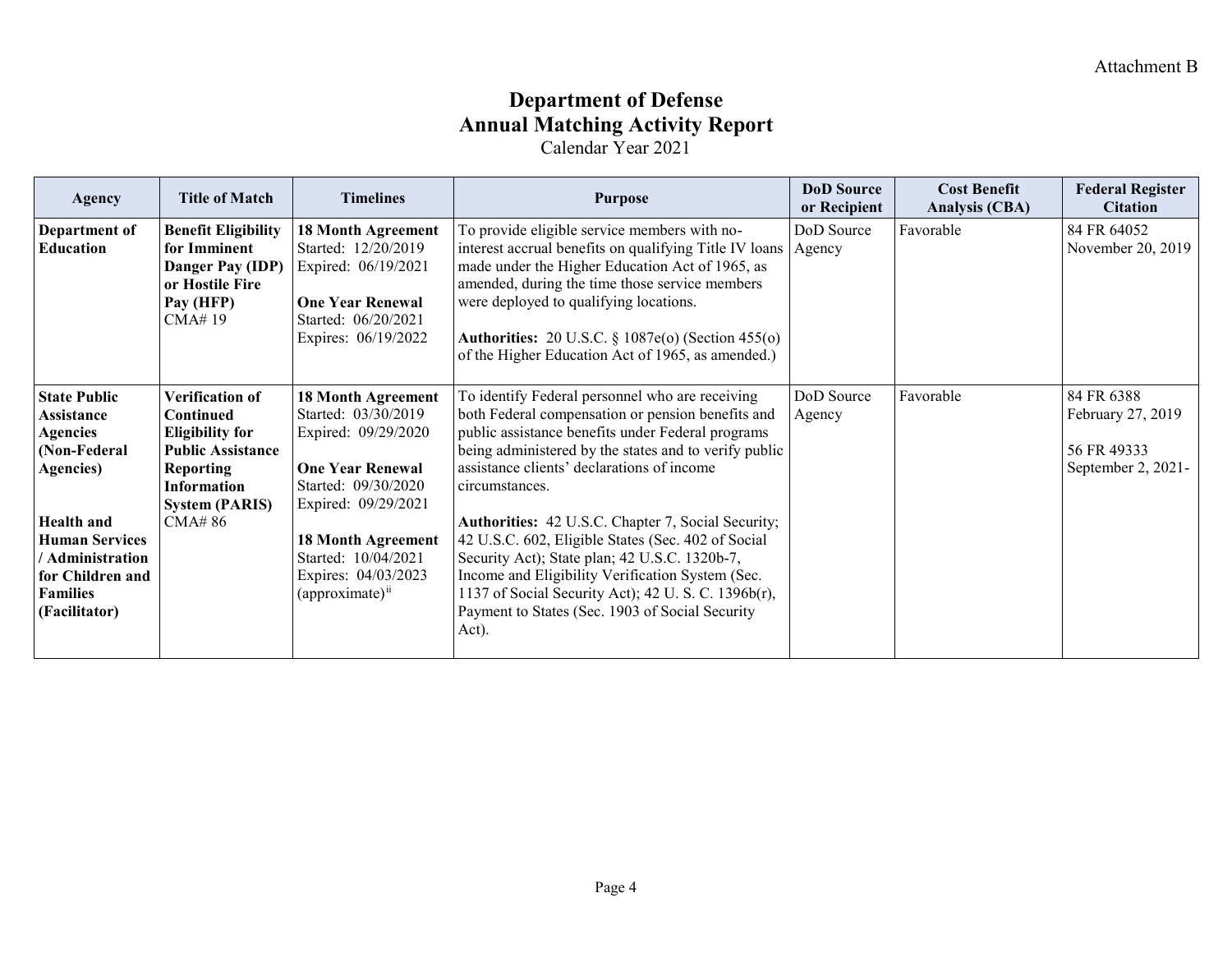| <b>Agency</b>                                                                                                                                                                                                       | <b>Title of Match</b>                                                                                                                                           | <b>Timelines</b>                                                                                                                                                                                                                                             | <b>Purpose</b>                                                                                                                                                                                                                                                                                                                                                                                                                                                                                                                                                                                                       | <b>DoD</b> Source<br>or Recipient | <b>Cost Benefit</b><br><b>Analysis (CBA)</b> | <b>Federal Register</b><br><b>Citation</b>                           |
|---------------------------------------------------------------------------------------------------------------------------------------------------------------------------------------------------------------------|-----------------------------------------------------------------------------------------------------------------------------------------------------------------|--------------------------------------------------------------------------------------------------------------------------------------------------------------------------------------------------------------------------------------------------------------|----------------------------------------------------------------------------------------------------------------------------------------------------------------------------------------------------------------------------------------------------------------------------------------------------------------------------------------------------------------------------------------------------------------------------------------------------------------------------------------------------------------------------------------------------------------------------------------------------------------------|-----------------------------------|----------------------------------------------|----------------------------------------------------------------------|
| Department of<br><b>Education</b>                                                                                                                                                                                   | <b>Benefit Eligibility</b><br>for Imminent<br>Danger Pay (IDP)<br>or Hostile Fire<br>Pay (HFP)<br><b>CMA#19</b>                                                 | <b>18 Month Agreement</b><br>Started: 12/20/2019<br>Expired: 06/19/2021<br><b>One Year Renewal</b><br>Started: 06/20/2021<br>Expires: 06/19/2022                                                                                                             | To provide eligible service members with no-<br>interest accrual benefits on qualifying Title IV loans<br>made under the Higher Education Act of 1965, as<br>amended, during the time those service members<br>were deployed to qualifying locations.<br>Authorities: $20$ U.S.C. § 1087e(o) (Section 455(o)<br>of the Higher Education Act of 1965, as amended.)                                                                                                                                                                                                                                                    | DoD Source<br>Agency              | Favorable                                    | 84 FR 64052<br>November 20, 2019                                     |
| <b>State Public</b><br>Assistance<br><b>Agencies</b><br>(Non-Federal<br><b>Agencies</b> )<br><b>Health</b> and<br><b>Human Services</b><br>/ Administration<br>for Children and<br><b>Families</b><br>(Facilitator) | <b>Verification of</b><br>Continued<br><b>Eligibility for</b><br><b>Public Assistance</b><br>Reporting<br><b>Information</b><br><b>System (PARIS)</b><br>CMA#86 | <b>18 Month Agreement</b><br>Started: 03/30/2019<br>Expired: 09/29/2020<br><b>One Year Renewal</b><br>Started: 09/30/2020<br>Expired: 09/29/2021<br><b>18 Month Agreement</b><br>Started: 10/04/2021<br>Expires: 04/03/2023<br>$(approximate)$ <sup>ii</sup> | To identify Federal personnel who are receiving<br>both Federal compensation or pension benefits and<br>public assistance benefits under Federal programs<br>being administered by the states and to verify public<br>assistance clients' declarations of income<br>circumstances.<br>Authorities: 42 U.S.C. Chapter 7, Social Security;<br>42 U.S.C. 602, Eligible States (Sec. 402 of Social<br>Security Act); State plan; 42 U.S.C. 1320b-7,<br>Income and Eligibility Verification System (Sec.<br>1137 of Social Security Act); 42 U.S.C. 1396b(r),<br>Payment to States (Sec. 1903 of Social Security<br>Act). | DoD Source<br>Agency              | Favorable                                    | 84 FR 6388<br>February 27, 2019<br>56 FR 49333<br>September 2, 2021- |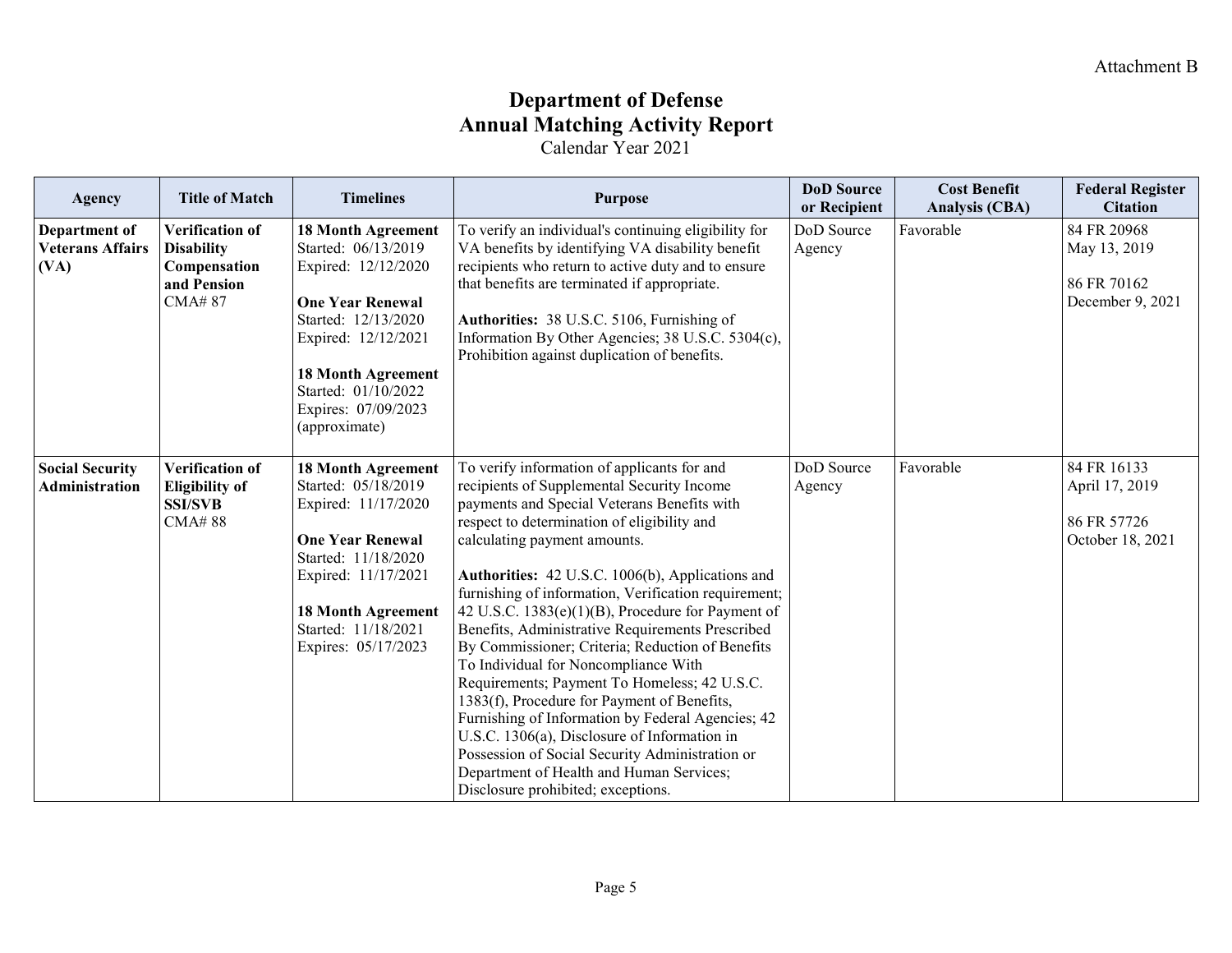| <b>Agency</b>                                    | <b>Title of Match</b>                                                                | <b>Timelines</b>                                                                                                                                                                                                                             | <b>Purpose</b>                                                                                                                                                                                                                                                                                                                                                                                                                                                                                                                                                                                                                                                                                                                                                                                                                                                                    | <b>DoD</b> Source<br>or Recipient | <b>Cost Benefit</b><br><b>Analysis (CBA)</b> | <b>Federal Register</b><br><b>Citation</b>                       |
|--------------------------------------------------|--------------------------------------------------------------------------------------|----------------------------------------------------------------------------------------------------------------------------------------------------------------------------------------------------------------------------------------------|-----------------------------------------------------------------------------------------------------------------------------------------------------------------------------------------------------------------------------------------------------------------------------------------------------------------------------------------------------------------------------------------------------------------------------------------------------------------------------------------------------------------------------------------------------------------------------------------------------------------------------------------------------------------------------------------------------------------------------------------------------------------------------------------------------------------------------------------------------------------------------------|-----------------------------------|----------------------------------------------|------------------------------------------------------------------|
| Department of<br><b>Veterans Affairs</b><br>(VA) | Verification of<br><b>Disability</b><br>Compensation<br>and Pension<br><b>CMA#87</b> | <b>18 Month Agreement</b><br>Started: 06/13/2019<br>Expired: 12/12/2020<br><b>One Year Renewal</b><br>Started: 12/13/2020<br>Expired: 12/12/2021<br><b>18 Month Agreement</b><br>Started: 01/10/2022<br>Expires: 07/09/2023<br>(approximate) | To verify an individual's continuing eligibility for<br>VA benefits by identifying VA disability benefit<br>recipients who return to active duty and to ensure<br>that benefits are terminated if appropriate.<br>Authorities: 38 U.S.C. 5106, Furnishing of<br>Information By Other Agencies; 38 U.S.C. 5304(c),<br>Prohibition against duplication of benefits.                                                                                                                                                                                                                                                                                                                                                                                                                                                                                                                 | DoD Source<br>Agency              | Favorable                                    | 84 FR 20968<br>May 13, 2019<br>86 FR 70162<br>December 9, 2021   |
| <b>Social Security</b><br>Administration         | <b>Verification of</b><br><b>Eligibility of</b><br><b>SSI/SVB</b><br><b>CMA#88</b>   | <b>18 Month Agreement</b><br>Started: 05/18/2019<br>Expired: 11/17/2020<br><b>One Year Renewal</b><br>Started: 11/18/2020<br>Expired: 11/17/2021<br><b>18 Month Agreement</b><br>Started: 11/18/2021<br>Expires: 05/17/2023                  | To verify information of applicants for and<br>recipients of Supplemental Security Income<br>payments and Special Veterans Benefits with<br>respect to determination of eligibility and<br>calculating payment amounts.<br>Authorities: 42 U.S.C. 1006(b), Applications and<br>furnishing of information, Verification requirement;<br>42 U.S.C. 1383(e)(1)(B), Procedure for Payment of<br>Benefits, Administrative Requirements Prescribed<br>By Commissioner; Criteria; Reduction of Benefits<br>To Individual for Noncompliance With<br>Requirements; Payment To Homeless; 42 U.S.C.<br>1383(f), Procedure for Payment of Benefits,<br>Furnishing of Information by Federal Agencies; 42<br>U.S.C. 1306(a), Disclosure of Information in<br>Possession of Social Security Administration or<br>Department of Health and Human Services;<br>Disclosure prohibited; exceptions. | DoD Source<br>Agency              | Favorable                                    | 84 FR 16133<br>April 17, 2019<br>86 FR 57726<br>October 18, 2021 |